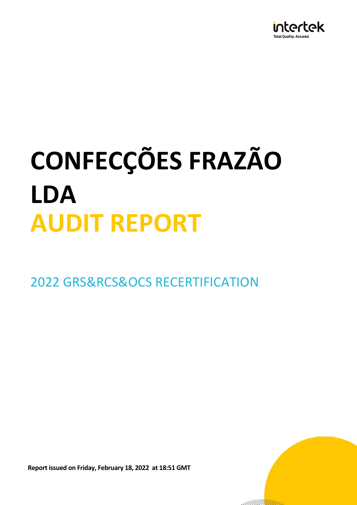

2022 GRS&RCS&OCS RECERTIFICATION

**Report issued on Friday, February 18, 2022 at 18:51 GMT**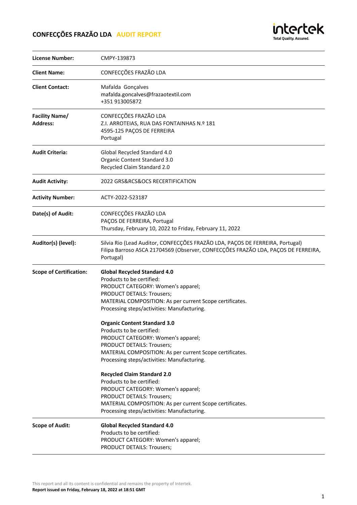

| License Number:                          | CMPY-139873                                                                                                                                                                                                                                                                                                                                                                                                                                                                                                                                                                                                                                                                                                                                          |
|------------------------------------------|------------------------------------------------------------------------------------------------------------------------------------------------------------------------------------------------------------------------------------------------------------------------------------------------------------------------------------------------------------------------------------------------------------------------------------------------------------------------------------------------------------------------------------------------------------------------------------------------------------------------------------------------------------------------------------------------------------------------------------------------------|
| <b>Client Name:</b>                      | CONFECÇÕES FRAZÃO LDA                                                                                                                                                                                                                                                                                                                                                                                                                                                                                                                                                                                                                                                                                                                                |
| <b>Client Contact:</b>                   | Mafalda Gonçalves<br>mafalda.goncalves@frazaotextil.com<br>+351 913005872                                                                                                                                                                                                                                                                                                                                                                                                                                                                                                                                                                                                                                                                            |
| <b>Facility Name/</b><br><b>Address:</b> | CONFECÇÕES FRAZÃO LDA<br>Z.I. ARROTEIAS, RUA DAS FONTAINHAS N.º 181<br>4595-125 PAÇOS DE FERREIRA<br>Portugal                                                                                                                                                                                                                                                                                                                                                                                                                                                                                                                                                                                                                                        |
| <b>Audit Criteria:</b>                   | Global Recycled Standard 4.0<br>Organic Content Standard 3.0<br>Recycled Claim Standard 2.0                                                                                                                                                                                                                                                                                                                                                                                                                                                                                                                                                                                                                                                          |
| <b>Audit Activity:</b>                   | 2022 GRS&RCS&OCS RECERTIFICATION                                                                                                                                                                                                                                                                                                                                                                                                                                                                                                                                                                                                                                                                                                                     |
| <b>Activity Number:</b>                  | ACTY-2022-523187                                                                                                                                                                                                                                                                                                                                                                                                                                                                                                                                                                                                                                                                                                                                     |
| Date(s) of Audit:                        | CONFECÇÕES FRAZÃO LDA<br>PAÇOS DE FERREIRA, Portugal<br>Thursday, February 10, 2022 to Friday, February 11, 2022                                                                                                                                                                                                                                                                                                                                                                                                                                                                                                                                                                                                                                     |
| Auditor(s) (level):                      | Silvia Rio (Lead Auditor, CONFECÇÕES FRAZÃO LDA, PAÇOS DE FERREIRA, Portugal)<br>Filipa Barroso ASCA 21704569 (Observer, CONFECÇÕES FRAZÃO LDA, PAÇOS DE FERREIRA,<br>Portugal)                                                                                                                                                                                                                                                                                                                                                                                                                                                                                                                                                                      |
| <b>Scope of Certification:</b>           | <b>Global Recycled Standard 4.0</b><br>Products to be certified:<br>PRODUCT CATEGORY: Women's apparel;<br>PRODUCT DETAILS: Trousers;<br>MATERIAL COMPOSITION: As per current Scope certificates.<br>Processing steps/activities: Manufacturing.<br><b>Organic Content Standard 3.0</b><br>Products to be certified:<br>PRODUCT CATEGORY: Women's apparel;<br>PRODUCT DETAILS: Trousers;<br>MATERIAL COMPOSITION: As per current Scope certificates.<br>Processing steps/activities: Manufacturing.<br><b>Recycled Claim Standard 2.0</b><br>Products to be certified:<br>PRODUCT CATEGORY: Women's apparel;<br>PRODUCT DETAILS: Trousers;<br>MATERIAL COMPOSITION: As per current Scope certificates.<br>Processing steps/activities: Manufacturing. |
| <b>Scope of Audit:</b>                   | <b>Global Recycled Standard 4.0</b><br>Products to be certified:<br>PRODUCT CATEGORY: Women's apparel;<br>PRODUCT DETAILS: Trousers;                                                                                                                                                                                                                                                                                                                                                                                                                                                                                                                                                                                                                 |

This report and all its content is confidential and remains the property of Intertek. **Report issued on Friday, February 18, 2022 at 18:51 GMT**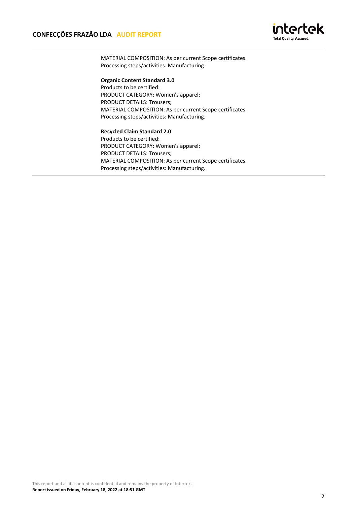

MATERIAL COMPOSITION: As per current Scope certificates. Processing steps/activities: Manufacturing.

# **Organic Content Standard 3.0**

Products to be certified: PRODUCT CATEGORY: Women's apparel; PRODUCT DETAILS: Trousers; MATERIAL COMPOSITION: As per current Scope certificates. Processing steps/activities: Manufacturing.

#### **Recycled Claim Standard 2.0**

Products to be certified: PRODUCT CATEGORY: Women's apparel; PRODUCT DETAILS: Trousers; MATERIAL COMPOSITION: As per current Scope certificates. Processing steps/activities: Manufacturing.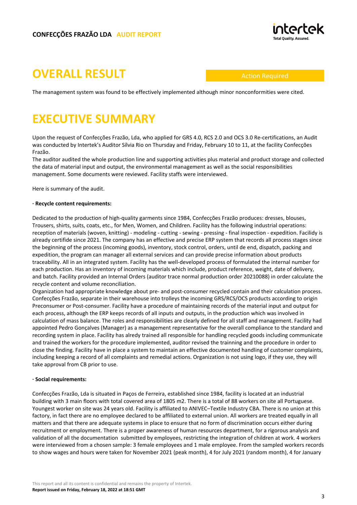

# **OVERALL RESULT**

Action Required

The management system was found to be effectively implemented although minor nonconformities were cited.

# **EXECUTIVE SUMMARY**

Upon the request of Confecções Frazão, Lda, who applied for GRS 4.0, RCS 2.0 and OCS 3.0 Re-certifications, an Audit was conducted by Intertek's Auditor Sílvia Rio on Thursday and Friday, February 10 to 11, at the facility Confecções Frazão.

The auditor audited the whole production line and supporting activities plus material and product storage and collected the data of material input and output, the environmental management as well as the social responsibilities management. Some documents were reviewed. Facility staffs were interviewed.

Here is summary of the audit.

## **· Recycle content requirements:**

Dedicated to the production of high-quality garments since 1984, Confecções Frazão produces: dresses, blouses, Trousers, shirts, suits, coats, etc., for Men, Women, and Children. Facility has the following industrial operations: reception of materials (woven, knitting) - modeling - cutting - sewing - pressing - final inspection - expedition. Facilidy is already certifide since 2021. The company has an effective and precise ERP system that records all process stages since the beginning of the process (incoming goods), inventory, stock control, orders, until de end, dispatch, packing and expedition, the program can manager all external services and can provide precise information about products traceability. All in an integrated system. Facility has the well-developed process of formulated the internal number for each production. Has an inventory of incoming materials which include, product reference, weight, date of delivery, and batch. Facility provided an Internal Orders (auditor trace normal production order 20210088) in order calculate the recycle content and volume reconciliation.

Organization had appropriate knowledge about pre- and post-consumer recycled contain and their calculation process. Confecções Frazão, separate in their warehouse into trolleys the incoming GRS/RCS/OCS products according to origin Preconsumer or Post-consumer. Facility have a procedure of maintaining records of the material input and output for each process, although the ERP keeps records of all inputs and outputs, in the production which was involved in calculation of mass balance. The roles and responsibilities are clearly defined for all staff and management. Facility had appointed Pedro Gonçalves (Manager) as a management representative for the overall compliance to the standard and recording system in place. Facility has alredy trained all responsible for handling recycled goods including communicate and trained the workers for the procedure implemented, auditor revised the trainning and the procedure in order to close the finding. Facility have in place a system to maintain an effective documented handling of customer complaints, including keeping a record of all complaints and remedial actions. Organization is not using logo, if they use, they will take approval from CB prior to use.

## **· Social requirements:**

Confecções Frazão, Lda is situated in Paços de Ferreira, established since 1984, facility is located at an industrial building with 3 main floors with total covered area of 1805 m2. There is a total of 88 workers on site all Portuguese. Youngest worker on site was 24 years old. Facility is affiliated to ANIVEC–Textile Industry CBA. There is no union at this factory, in fact there are no employee declared to be affiliated to external union. All workers are treated equally in all matters and that there are adequate systems in place to ensure that no form of discrimination occurs either during recruitment or employment. There is a proper awareness of human resources department, for a rigorous analysis and validation of all the documentation submitted by employees, restricting the integration of children at work. 4 workers were interviewed from a chosen sample: 3 female employees and 1 male employee. From the sampled workers records to show wages and hours were taken for November 2021 (peak month), 4 for July 2021 (random month), 4 for January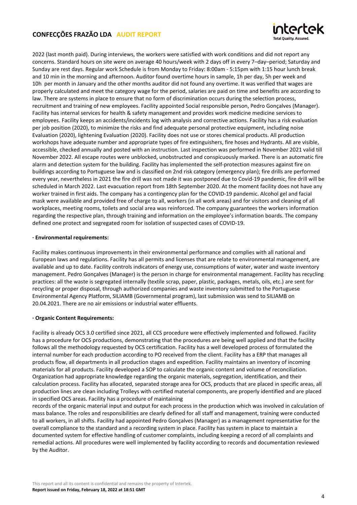

2022 (last month paid). During interviews, the workers were satisfied with work conditions and did not report any concerns. Standard hours on site were on average 40 hours/week with 2 days off in every 7–day–period; Saturday and Sunday are rest days. Regular work Schedule is from Monday to Friday: 8:00am - 5:15pm with 1:15 hour lunch break and 10 min in the morning and afternoon. Auditor found overtime hours in sample, 1h per day, 5h per week and 10h per month in January and the other months auditor did not found any overtime. It was verified that wages are properly calculated and meet the category wage for the period, salaries are paid on time and benefits are according to law. There are systems in place to ensure that no form of discrimination occurs during the selection process, recruitment and training of new employees. Facility appointed Social responsible person, Pedro Gonçalves (Manager). Facility has internal services for health & safety management and provides work medicine medicine services to employees. Facility keeps an accidents/incidents log with analysis and corrective actions. Facility has a risk evaluation per job position (2020), to minimize the risks and find adequate personal protective equipment, including noise Evaluation (2020), lightening Evaluation (2020). Facility does not use or stores chemical products. All production workshops have adequate number and appropriate types of fire extinguishers, fire hoses and Hydrants. All are visible, accessible, checked annually and posted with an instruction. Last inspection was performed in November 2021 valid till November 2022. All escape routes were unblocked, unobstructed and conspicuously marked. There is an automatic fire alarm and detection system for the building. Facility has implemented the self-protection measures against fire on buildings according to Portuguese law and is classified on 2nd risk category (emergency plan); fire drills are performed every year, nevertheless in 2021 the fire drill was not made it was postponed due to Covid-19 pandemic, fire drill will be scheduled in March 2022. Last evacuation report from 18th September 2020. At the moment facility does not have any worker trained in first aids. The company has a contingency plan for the COVID-19 pandemic. Alcohol gel and facial mask were available and provided free of charge to all, workers (in all work areas) and for visitors and cleaning of all workplaces, meeting rooms, toilets and social area was reinforced. The company guarantees the workers information regarding the respective plan, through training and information on the employee's information boards. The company defined one protect and segregated room for isolation of suspected cases of COVID-19.

## **· Environmental requirements:**

Facility makes continuous improvements in their environmental performance and complies with all national and European laws and regulations. Facility has all permits and licenses that are relate to environmental management, are available and up to date. Facility controls indicators of energy use, consumptions of water, water and waste inventory management. Pedro Gonçalves (Manager) is the person in charge for environmental management. Facility has recycling practices: all the waste is segregated internally (textile scrap, paper, plastic, packages, metals, oils, etc.) are sent for recycling or proper disposal, through authorized companies and waste inventory submitted to the Portuguese Environmental Agency Platform, SILIAMB (Governmental program), last submission was send to SILIAMB on 20.04.2021. There are no air emissions or industrial water effluents.

## **· Organic Content Requirements:**

Facility is already OCS 3.0 certified since 2021, all CCS procedure were effectively implemented and followed. Facility has a procedure for OCS productions, demonstrating that the procedures are being well applied and that the facility follows all the methodology requested by OCS certification. Facility has a well developed process of formulated the internal number for each production according to PO received from the client. Facility has a ERP that manages all products flow, all departments in all production stages and expedition. Facility maintains an inventory of incoming materials for all products. Facility developed a SOP to calculate the organic content and volume of reconciliation. Organization had appropriate knowledge regarding the organic materials, segregation, identification, and their calculation process. Facility has allocated, separated storage area for OCS, products that are placed in specific areas, all production lines are clean including Trolleys with certified material components, are properly identified and are placed in specified OCS areas. Facility has a procedure of maintaining

records of the organic material input and output for each process in the production which was involved in calculation of mass balance. The roles and responsibilities are clearly defined for all staff and management, training were conducted to all workers, in all shifts. Facility had appointed Pedro Gonçalves (Manager) as a management representative for the overall compliance to the standard and a recording system in place. Facility has system in place to maintain a documented system for effective handling of customer complaints, including keeping a record of all complaints and remedial actions. All procedures were well implemented by facility according to records and documentation reviewed by the Auditor.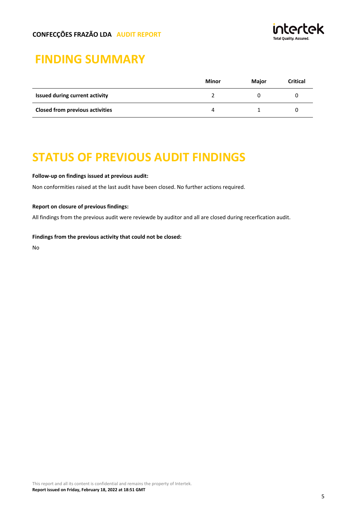

# **FINDING SUMMARY**

|                                        | Minor         | <b>Maior</b> | <b>Critical</b> |
|----------------------------------------|---------------|--------------|-----------------|
| <b>Issued during current activity</b>  |               |              |                 |
| <b>Closed from previous activities</b> | $\mathcal{L}$ |              |                 |

# **STATUS OF PREVIOUS AUDIT FINDINGS**

## **Follow-up on findings issued at previous audit:**

Non conformities raised at the last audit have been closed. No further actions required.

## **Report on closure of previous findings:**

All findings from the previous audit were reviewde by auditor and all are closed during recerfication audit.

## **Findings from the previous activity that could not be closed:**

No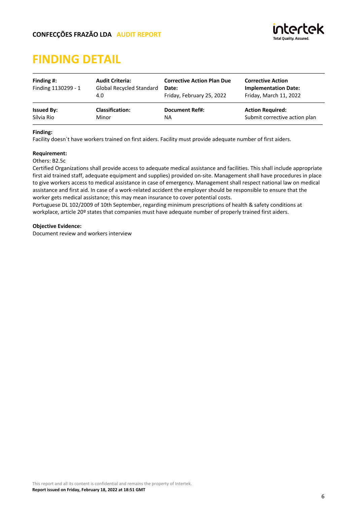# **FINDING DETAIL**

| Finding #:<br>Finding 1130299 - 1 | <b>Audit Criteria:</b><br><b>Global Recycled Standard</b><br>4.0 | <b>Corrective Action Plan Due</b><br>Date:<br>Friday, February 25, 2022 | <b>Corrective Action</b><br><b>Implementation Date:</b><br>Friday, March 11, 2022 |
|-----------------------------------|------------------------------------------------------------------|-------------------------------------------------------------------------|-----------------------------------------------------------------------------------|
| <b>Issued By:</b>                 | <b>Classification:</b>                                           | <b>Document Ref#:</b>                                                   | <b>Action Required:</b>                                                           |
| Sílvia Rio                        | Minor                                                            | ΝA                                                                      | Submit corrective action plan                                                     |

## **Finding:**

Facility doesn´t have workers trained on first aiders. Facility must provide adequate number of first aiders.

## **Requirement:**

Others: B2.5c

Certified Organizations shall provide access to adequate medical assistance and facilities. This shall include appropriate first aid trained staff, adequate equipment and supplies) provided on-site. Management shall have procedures in place to give workers access to medical assistance in case of emergency. Management shall respect national law on medical assistance and first aid. In case of a work-related accident the employer should be responsible to ensure that the worker gets medical assistance; this may mean insurance to cover potential costs.

Portuguese DL 102/2009 of 10th September, regarding minimum prescriptions of health & safety conditions at workplace, article 20<sup>°</sup> states that companies must have adequate number of properly trained first aiders.

## **Objective Evidence:**

Document review and workers interview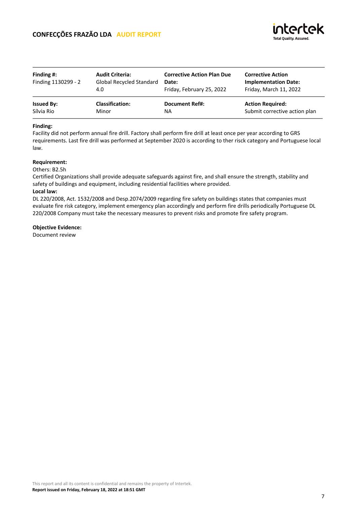| Finding $#$ :<br>Finding 1130299 - 2 | <b>Audit Criteria:</b><br><b>Global Recycled Standard</b><br>4.0 | <b>Corrective Action Plan Due</b><br>Date:<br>Friday, February 25, 2022 | <b>Corrective Action</b><br><b>Implementation Date:</b><br>Friday, March 11, 2022 |
|--------------------------------------|------------------------------------------------------------------|-------------------------------------------------------------------------|-----------------------------------------------------------------------------------|
| <b>Issued By:</b>                    | <b>Classification:</b>                                           | <b>Document Ref#:</b>                                                   | <b>Action Required:</b>                                                           |
| Sílvia Rio                           | Minor                                                            | NA                                                                      | Submit corrective action plan                                                     |

#### **Finding:**

Facility did not perform annual fire drill. Factory shall perform fire drill at least once per year according to GRS requirements. Last fire drill was performed at September 2020 is according to ther risck category and Portuguese local law.

## **Requirement:**

Others: B2.5h

Certified Organizations shall provide adequate safeguards against fire, and shall ensure the strength, stability and safety of buildings and equipment, including residential facilities where provided.

## **Local law:**

DL 220/2008, Act. 1532/2008 and Desp.2074/2009 regarding fire safety on buildings states that companies must evaluate fire risk category, implement emergency plan accordingly and perform fire drills periodically Portuguese DL 220/2008 Company must take the necessary measures to prevent risks and promote fire safety program.

#### **Objective Evidence:**

Document review

INtArtAk

**Total Quality, Assured**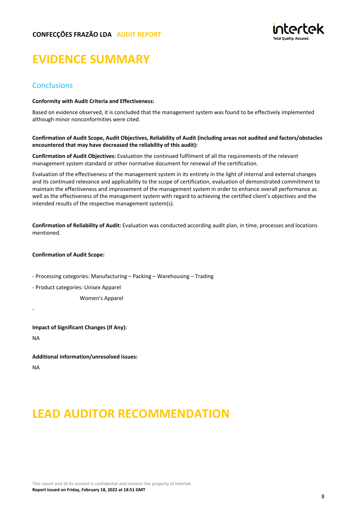

# **EVIDENCE SUMMARY**

# **Conclusions**

#### **Conformity with Audit Criteria and Effectiveness:**

Based on evidence observed, it is concluded that the management system was found to be effectively implemented although minor nonconformities were cited.

#### **Confirmation of Audit Scope, Audit Objectives, Reliability of Audit (including areas not audited and factors/obstacles encountered that may have decreased the reliability of this audit):**

**Confirmation of Audit Objectives:** Evaluation the continued fulfilment of all the requirements of the relevant management system standard or other normative document for renewal of the certification.

Evaluation of the effectiveness of the management system in its entirety in the light of internal and external changes and its continued relevance and applicability to the scope of certification, evaluation of demonstrated commitment to maintain the effectiveness and improvement of the management system in order to enhance overall performance as well as the effectiveness of the management system with regard to achieving the certified client's objectives and the intended results of the respective management system(s).

**Confirmation of Reliability of Audit:** Evaluation was conducted according audit plan, in time, processes and locations mentioned.

## **Confirmation of Audit Scope:**

- Processing categories: Manufacturing – Packing – Warehousing – Trading

- Product categories: Unisex Apparel

Women's Apparel

**Impact of Significant Changes (If Any):**

NA

-

**Additional information/unresolved issues:** NA

# **LEAD AUDITOR RECOMMENDATION**